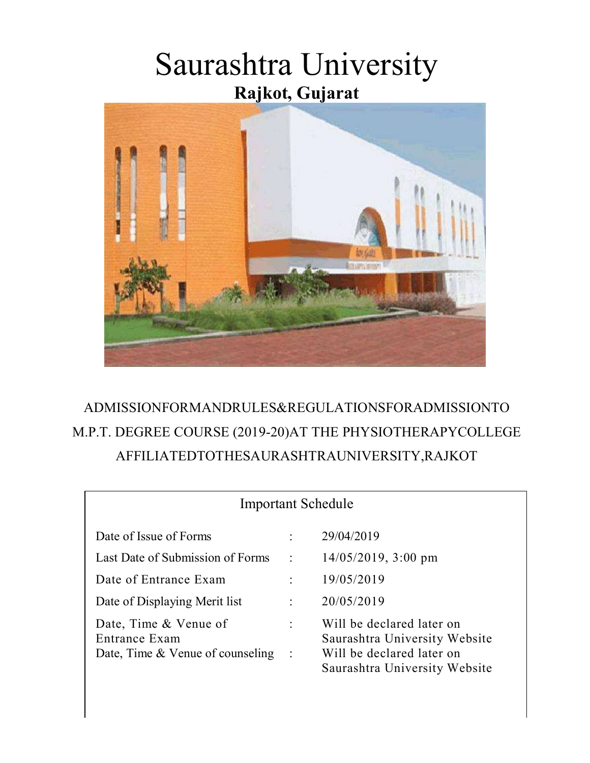# Saurashtra University Rajkot, Gujarat



### ADMISSIONFORMANDRULES&REGULATIONSFORADMISSIONTO M.P.T. DEGREE COURSE (2019-20)AT THE PHYSIOTHERAPYCOLLEGE AFFILIATEDTOTHESAURASHTRAUNIVERSITY,RAJKOT

| <b>Important Schedule</b>                                                  |                                        |                                                                                                                          |  |  |
|----------------------------------------------------------------------------|----------------------------------------|--------------------------------------------------------------------------------------------------------------------------|--|--|
| Date of Issue of Forms                                                     | $\ddot{\cdot}$                         | 29/04/2019                                                                                                               |  |  |
| Last Date of Submission of Forms                                           | $\ddot{\cdot}$                         | $14/05/2019$ , 3:00 pm                                                                                                   |  |  |
| Date of Entrance Exam                                                      | $\ddot{\cdot}$                         | 19/05/2019                                                                                                               |  |  |
| Date of Displaying Merit list                                              | $\ddot{\phantom{a}}$                   | 20/05/2019                                                                                                               |  |  |
| Date, Time & Venue of<br>Entrance Exam<br>Date, Time & Venue of counseling | $\ddot{\phantom{a}}$<br>$\mathbb{R}^2$ | Will be declared later on<br>Saurashtra University Website<br>Will be declared later on<br>Saurashtra University Website |  |  |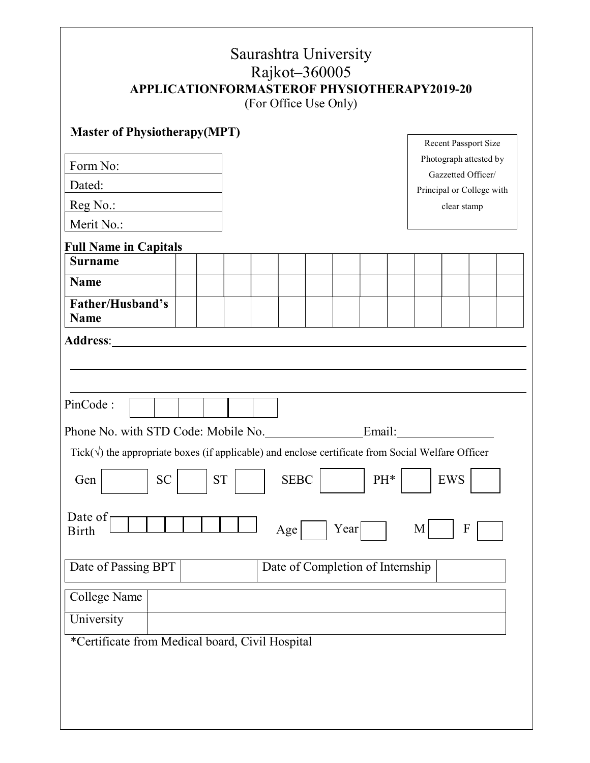| <b>Master of Physiotherapy (MPT)</b><br>Recent Passport Size<br>Photograph attested by<br>Form No:<br>Gazzetted Officer/<br>Dated:<br>Principal or College with<br>Reg No.:<br>clear stamp<br>Merit No.:<br><b>Full Name in Capitals</b><br><b>Surname</b><br><b>Name</b><br>Father/Husband's<br><b>Name</b><br><b>Address:</b><br>PinCode:<br>Phone No. with STD Code: Mobile No. Email: Email:<br>Tick( $\sqrt{ }$ ) the appropriate boxes (if applicable) and enclose certificate from Social Welfare Officer<br><b>SEBC</b><br><b>EWS</b><br>${\cal S}{\cal T}$<br>PH*<br><b>SC</b><br>Gen<br>Date of<br>Year<br>M<br>$\mathbf{F}$<br>Age<br><b>Birth</b><br>Date of Completion of Internship<br>Date of Passing BPT<br><b>College Name</b><br>University |  | <b>APPLICATIONFORMASTEROF PHYSIOTHERAPY2019-20</b> | Saurashtra University<br>Rajkot-360005<br>(For Office Use Only) |  |  |
|---------------------------------------------------------------------------------------------------------------------------------------------------------------------------------------------------------------------------------------------------------------------------------------------------------------------------------------------------------------------------------------------------------------------------------------------------------------------------------------------------------------------------------------------------------------------------------------------------------------------------------------------------------------------------------------------------------------------------------------------------------------|--|----------------------------------------------------|-----------------------------------------------------------------|--|--|
|                                                                                                                                                                                                                                                                                                                                                                                                                                                                                                                                                                                                                                                                                                                                                               |  |                                                    |                                                                 |  |  |
|                                                                                                                                                                                                                                                                                                                                                                                                                                                                                                                                                                                                                                                                                                                                                               |  |                                                    |                                                                 |  |  |
|                                                                                                                                                                                                                                                                                                                                                                                                                                                                                                                                                                                                                                                                                                                                                               |  |                                                    |                                                                 |  |  |
|                                                                                                                                                                                                                                                                                                                                                                                                                                                                                                                                                                                                                                                                                                                                                               |  |                                                    |                                                                 |  |  |
|                                                                                                                                                                                                                                                                                                                                                                                                                                                                                                                                                                                                                                                                                                                                                               |  |                                                    |                                                                 |  |  |
|                                                                                                                                                                                                                                                                                                                                                                                                                                                                                                                                                                                                                                                                                                                                                               |  |                                                    |                                                                 |  |  |
|                                                                                                                                                                                                                                                                                                                                                                                                                                                                                                                                                                                                                                                                                                                                                               |  |                                                    |                                                                 |  |  |
|                                                                                                                                                                                                                                                                                                                                                                                                                                                                                                                                                                                                                                                                                                                                                               |  |                                                    |                                                                 |  |  |
|                                                                                                                                                                                                                                                                                                                                                                                                                                                                                                                                                                                                                                                                                                                                                               |  |                                                    |                                                                 |  |  |
|                                                                                                                                                                                                                                                                                                                                                                                                                                                                                                                                                                                                                                                                                                                                                               |  |                                                    |                                                                 |  |  |
|                                                                                                                                                                                                                                                                                                                                                                                                                                                                                                                                                                                                                                                                                                                                                               |  |                                                    |                                                                 |  |  |
|                                                                                                                                                                                                                                                                                                                                                                                                                                                                                                                                                                                                                                                                                                                                                               |  |                                                    |                                                                 |  |  |
|                                                                                                                                                                                                                                                                                                                                                                                                                                                                                                                                                                                                                                                                                                                                                               |  |                                                    |                                                                 |  |  |
|                                                                                                                                                                                                                                                                                                                                                                                                                                                                                                                                                                                                                                                                                                                                                               |  |                                                    |                                                                 |  |  |
|                                                                                                                                                                                                                                                                                                                                                                                                                                                                                                                                                                                                                                                                                                                                                               |  |                                                    |                                                                 |  |  |
| *Certificate from Medical board, Civil Hospital                                                                                                                                                                                                                                                                                                                                                                                                                                                                                                                                                                                                                                                                                                               |  |                                                    |                                                                 |  |  |

٦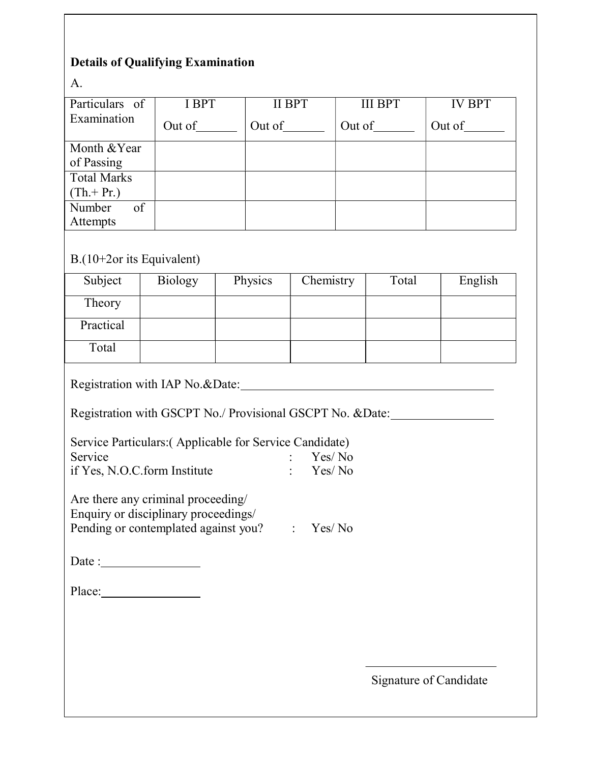#### Details of Qualifying Examination

A.

| Particulars of              | I BPT  | <b>II BPT</b> | <b>III BPT</b> | <b>IV BPT</b> |  |  |
|-----------------------------|--------|---------------|----------------|---------------|--|--|
| Examination                 | Out of | Out of        | Out of         | Out of        |  |  |
| Month & Year                |        |               |                |               |  |  |
| of Passing                  |        |               |                |               |  |  |
| <b>Total Marks</b>          |        |               |                |               |  |  |
| $(Th.+Pr.)$                 |        |               |                |               |  |  |
| of<br>Number                |        |               |                |               |  |  |
| Attempts                    |        |               |                |               |  |  |
|                             |        |               |                |               |  |  |
| $B.(10+2or its Equivalent)$ |        |               |                |               |  |  |

| Subject   | Biology | Physics | Chemistry | Total | English |
|-----------|---------|---------|-----------|-------|---------|
| Theory    |         |         |           |       |         |
| Practical |         |         |           |       |         |
| Total     |         |         |           |       |         |

Registration with IAP No.&Date:

Registration with GSCPT No./ Provisional GSCPT No. &Date:

| Service Particulars: (Applicable for Service Candidate) |                     |
|---------------------------------------------------------|---------------------|
| Service                                                 | $\therefore$ Yes/No |

| if Yes, N.O.C.form Institute | Yes/No |
|------------------------------|--------|

Are there any criminal proceeding/ Enquiry or disciplinary proceedings/ Pending or contemplated against you? : Yes/ No

Date :

Place:

Signature of Candidate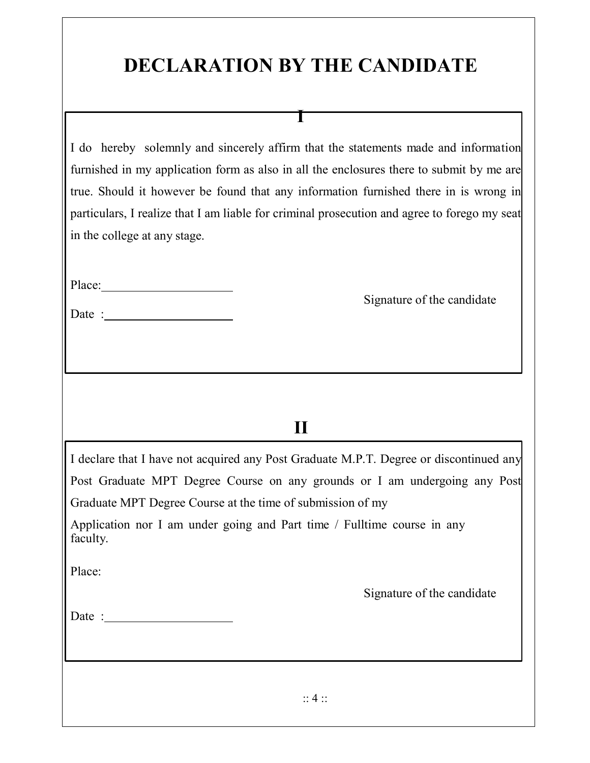# DECLARATION BY THE CANDIDATE

I

I do hereby solemnly and sincerely affirm that the statements made and information furnished in my application form as also in all the enclosures there to submit by me are true. Should it however be found that any information furnished there in is wrong in particulars, I realize that I am liable for criminal prosecution and agree to forego my seat in the college at any stage.

| Place: |
|--------|
|--------|

| Date: |  |
|-------|--|
|       |  |
|       |  |

Signature of the candidate

### II

I declare that I have not acquired any Post Graduate M.P.T. Degree or discontinued any Post Graduate MPT Degree Course on any grounds or I am undergoing any Post Graduate MPT Degree Course at the time of submission of my

Application nor I am under going and Part time / Fulltime course in any faculty.

Place:

Signature of the candidate

| Date |  |
|------|--|
|      |  |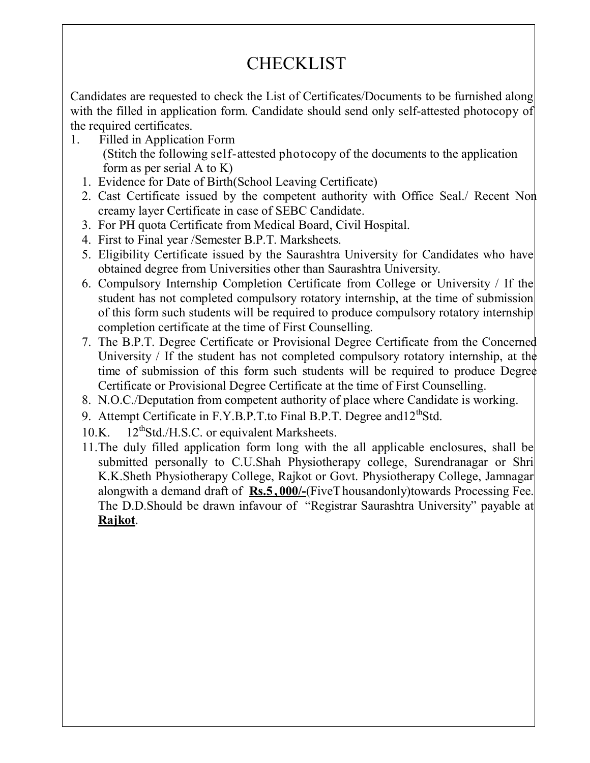## **CHECKLIST**

Candidates are requested to check the List of Certificates/Documents to be furnished along with the filled in application form. Candidate should send only self-attested photocopy of the required certificates.

- 1. Filled in Application Form (Stitch the following self-attested photocopy of the documents to the application form as per serial A to K)
	- 1. Evidence for Date of Birth(School Leaving Certificate)
	- 2. Cast Certificate issued by the competent authority with Office Seal./ Recent Non creamy layer Certificate in case of SEBC Candidate.
	- 3. For PH quota Certificate from Medical Board, Civil Hospital.
	- 4. First to Final year /Semester B.P.T. Marksheets.
	- 5. Eligibility Certificate issued by the Saurashtra University for Candidates who have obtained degree from Universities other than Saurashtra University.
	- 6. Compulsory Internship Completion Certificate from College or University / If the student has not completed compulsory rotatory internship, at the time of submission of this form such students will be required to produce compulsory rotatory internship completion certificate at the time of First Counselling.
	- 7. The B.P.T. Degree Certificate or Provisional Degree Certificate from the Concerned University / If the student has not completed compulsory rotatory internship, at the time of submission of this form such students will be required to produce Degree Certificate or Provisional Degree Certificate at the time of First Counselling.
	- 8. N.O.C./Deputation from competent authority of place where Candidate is working.
	- 9. Attempt Certificate in F.Y.B.P.T.to Final B.P.T. Degree and 12<sup>th</sup>Std.
	- 10.K. 12<sup>th</sup>Std./H.S.C. or equivalent Marksheets.
	- 11.The duly filled application form long with the all applicable enclosures, shall be submitted personally to C.U.Shah Physiotherapy college, Surendranagar or Shri K.K.Sheth Physiotherapy College, Rajkot or Govt. Physiotherapy College, Jamnagar alongwith a demand draft of  $\mathbf{Rs.5.000}/$  (Five T housandonly) towards Processing Fee. The D.D.Should be drawn infavour of "Registrar Saurashtra University" payable at Rajkot.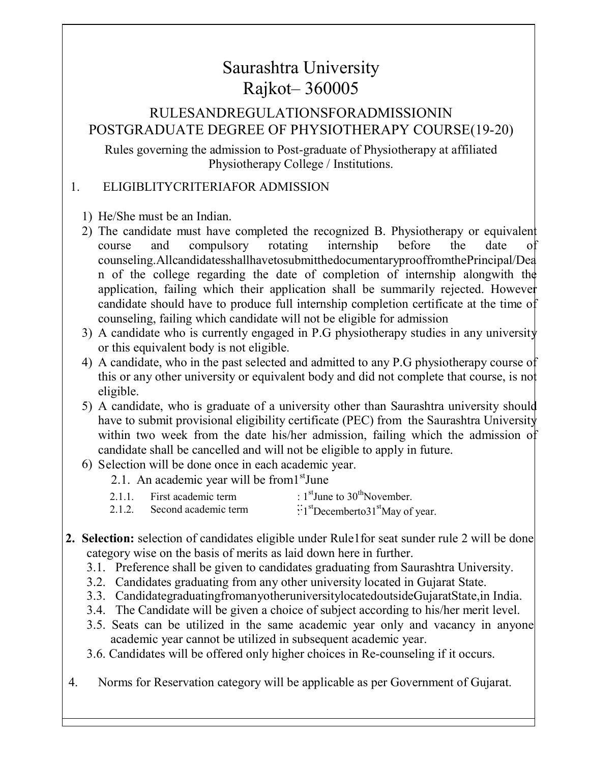### Saurashtra University Rajkot– 360005

#### RULESANDREGULATIONSFORADMISSIONIN POSTGRADUATE DEGREE OF PHYSIOTHERAPY COURSE(19-20)

Rules governing the admission to Post-graduate of Physiotherapy at affiliated Physiotherapy College / Institutions.

#### 1. ELIGIBLITYCRITERIAFOR ADMISSION

1) He/She must be an Indian.

- 2) The candidate must have completed the recognized B. Physiotherapy or equivalent course and compulsory rotating internship before the date of counseling.AllcandidatesshallhavetosubmitthedocumentaryprooffromthePrincipal/Dea n of the college regarding the date of completion of internship alongwith the application, failing which their application shall be summarily rejected. However candidate should have to produce full internship completion certificate at the time of counseling, failing which candidate will not be eligible for admission
- 3) A candidate who is currently engaged in P.G physiotherapy studies in any university or this equivalent body is not eligible.
- 4) A candidate, who in the past selected and admitted to any P.G physiotherapy course of this or any other university or equivalent body and did not complete that course, is not eligible.
- 5) A candidate, who is graduate of a university other than Saurashtra university should have to submit provisional eligibility certificate (PEC) from the Saurashtra University within two week from the date his/her admission, failing which the admission of candidate shall be cancelled and will not be eligible to apply in future.

#### 6) Selection will be done once in each academic year.

2.1. An academic year will be from <sup>st</sup>June

| : $1^{\text{st}}$ June to $30^{\text{th}}$ November.<br>2.1.1.<br>First academic term |
|---------------------------------------------------------------------------------------|
|---------------------------------------------------------------------------------------|

- 2.1.2. Second academic term  $\cdot$ <sup>st</sup>Decemberto31<sup>st</sup>May of year.
- 2. Selection: selection of candidates eligible under Rule1for seat sunder rule 2 will be done category wise on the basis of merits as laid down here in further.
	- 3.1. Preference shall be given to candidates graduating from Saurashtra University.
	- 3.2. Candidates graduating from any other university located in Gujarat State.
	- 3.3. CandidategraduatingfromanyotheruniversitylocatedoutsideGujaratState,in India.
	- 3.4. The Candidate will be given a choice of subject according to his/her merit level.
	- 3.5. Seats can be utilized in the same academic year only and vacancy in anyone academic year cannot be utilized in subsequent academic year.
	- 3.6. Candidates will be offered only higher choices in Re-counseling if it occurs.
- 4. Norms for Reservation category will be applicable as per Government of Gujarat.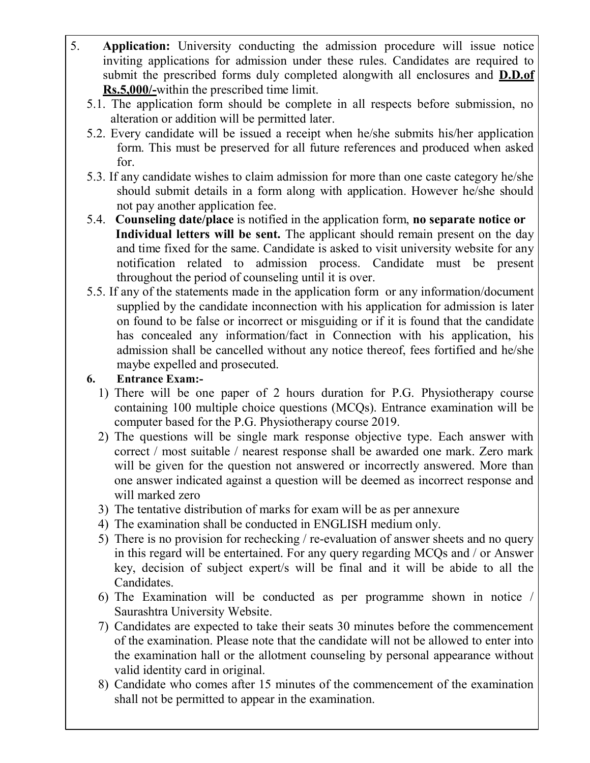- 5. Application: University conducting the admission procedure will issue notice inviting applications for admission under these rules. Candidates are required to submit the prescribed forms duly completed alongwith all enclosures and **D.D.of** Rs.5,000/-within the prescribed time limit.
	- 5.1. The application form should be complete in all respects before submission, no alteration or addition will be permitted later.
	- 5.2. Every candidate will be issued a receipt when he/she submits his/her application form. This must be preserved for all future references and produced when asked for.
	- 5.3. If any candidate wishes to claim admission for more than one caste category he/she should submit details in a form along with application. However he/she should not pay another application fee.
	- 5.4. Counseling date/place is notified in the application form, no separate notice or Individual letters will be sent. The applicant should remain present on the day and time fixed for the same. Candidate is asked to visit university website for any notification related to admission process. Candidate must be present throughout the period of counseling until it is over.
	- 5.5. If any of the statements made in the application form or any information/document supplied by the candidate inconnection with his application for admission is later on found to be false or incorrect or misguiding or if it is found that the candidate has concealed any information/fact in Connection with his application, his admission shall be cancelled without any notice thereof, fees fortified and he/she maybe expelled and prosecuted.
	- 6. Entrance Exam:-
		- 1) There will be one paper of 2 hours duration for P.G. Physiotherapy course containing 100 multiple choice questions (MCQs). Entrance examination will be computer based for the P.G. Physiotherapy course 2019.
		- 2) The questions will be single mark response objective type. Each answer with correct / most suitable / nearest response shall be awarded one mark. Zero mark will be given for the question not answered or incorrectly answered. More than one answer indicated against a question will be deemed as incorrect response and will marked zero
		- 3) The tentative distribution of marks for exam will be as per annexure
		- 4) The examination shall be conducted in ENGLISH medium only.
		- 5) There is no provision for rechecking / re-evaluation of answer sheets and no query in this regard will be entertained. For any query regarding MCQs and / or Answer key, decision of subject expert/s will be final and it will be abide to all the Candidates.
		- 6) The Examination will be conducted as per programme shown in notice / Saurashtra University Website.
		- 7) Candidates are expected to take their seats 30 minutes before the commencement of the examination. Please note that the candidate will not be allowed to enter into the examination hall or the allotment counseling by personal appearance without valid identity card in original.
		- 8) Candidate who comes after 15 minutes of the commencement of the examination shall not be permitted to appear in the examination.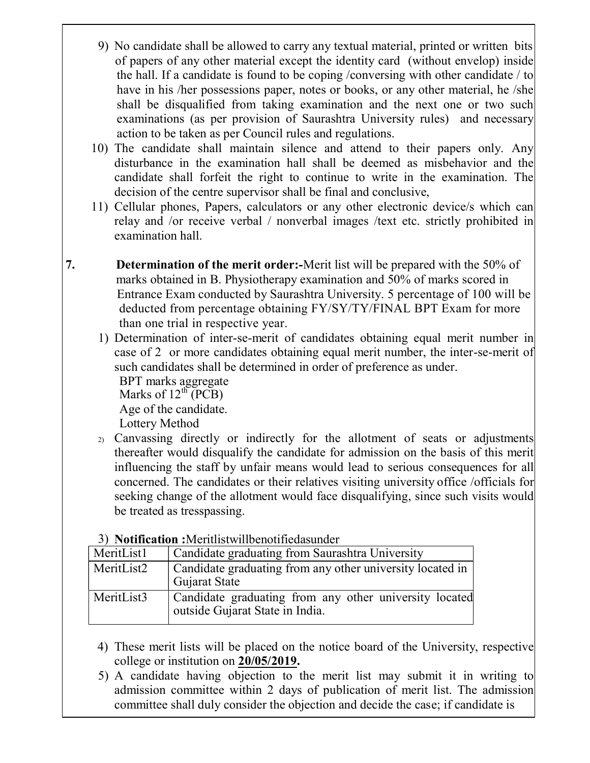- 9) No candidate shall be allowed to carry any textual material, printed or written bits of papers of any other material except the identity card (without envelop) inside the hall. If a candidate is found to be coping /conversing with other candidate / to have in his /her possessions paper, notes or books, or any other material, he /she shall be disqualified from taking examination and the next one or two such examinations (as per provision of Saurashtra University rules) and necessary action to be taken as per Council rules and regulations.
- 10) The candidate shall maintain silence and attend to their papers only. Any disturbance in the examination hall shall be deemed as misbehavior and the candidate shall forfeit the right to continue to write in the examination. The decision of the centre supervisor shall be final and conclusive,
- 11) Cellular phones, Papers, calculators or any other electronic device/s which can relay and /or receive verbal / nonverbal images /text etc. strictly prohibited in examination hall.
- 7. Determination of the merit order:-Merit list will be prepared with the 50% of marks obtained in B. Physiotherapy examination and 50% of marks scored in Entrance Exam conducted by Saurashtra University. 5 percentage of 100 will be deducted from percentage obtaining FY/SY/TY/FINAL BPT Exam for more than one trial in respective year.
	- 1) Determination of inter-se-merit of candidates obtaining equal merit number in case of 2 or more candidates obtaining equal merit number, the inter-se-merit of such candidates shall be determined in order of preference as under.

BPT marks aggregate Marks of  $12^{th}$  (PCB)

Age of the candidate.

Lottery Method

2) Canvassing directly or indirectly for the allotment of seats or adjustments thereafter would disqualify the candidate for admission on the basis of this merit influencing the staff by unfair means would lead to serious consequences for all concerned. The candidates or their relatives visiting university office /officials for seeking change of the allotment would face disqualifying, since such visits would be treated as tresspassing.

|            | 27 FOUNDATION MONTHERWINGCHOUNGGOUGH                                                      |
|------------|-------------------------------------------------------------------------------------------|
| MeritList1 | Candidate graduating from Saurashtra University                                           |
| MeritList2 | Candidate graduating from any other university located in<br>Gujarat State                |
| MeritList3 | Candidate graduating from any other university located<br>outside Gujarat State in India. |

3) Notification :Meritlistwillbenotifiedasunder

- 4) These merit lists will be placed on the notice board of the University, respective college or institution on 20/05/2019.
- 5) A candidate having objection to the merit list may submit it in writing to admission committee within 2 days of publication of merit list. The admission committee shall duly consider the objection and decide the case; if candidate is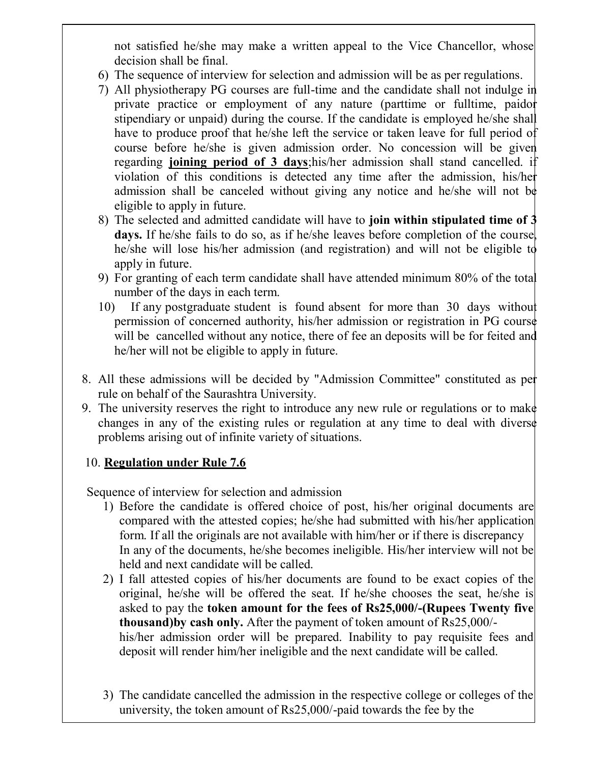not satisfied he/she may make a written appeal to the Vice Chancellor, whose decision shall be final.

- 6) The sequence of interview for selection and admission will be as per regulations.
- 7) All physiotherapy PG courses are full-time and the candidate shall not indulge in private practice or employment of any nature (parttime or fulltime, paidor stipendiary or unpaid) during the course. If the candidate is employed he/she shall have to produce proof that he/she left the service or taken leave for full period of course before he/she is given admission order. No concession will be given regarding joining period of 3 days;his/her admission shall stand cancelled. if violation of this conditions is detected any time after the admission, his/her admission shall be canceled without giving any notice and he/she will not be eligible to apply in future.
- 8) The selected and admitted candidate will have to join within stipulated time of 3 days. If he/she fails to do so, as if he/she leaves before completion of the course, he/she will lose his/her admission (and registration) and will not be eligible to apply in future.
- 9) For granting of each term candidate shall have attended minimum 80% of the total number of the days in each term.
- 10) If any postgraduate student is found absent for more than 30 days without permission of concerned authority, his/her admission or registration in PG course will be cancelled without any notice, there of fee an deposits will be for feited and he/her will not be eligible to apply in future.
- 8. All these admissions will be decided by "Admission Committee" constituted as per rule on behalf of the Saurashtra University.
- 9. The university reserves the right to introduce any new rule or regulations or to make changes in any of the existing rules or regulation at any time to deal with diverse problems arising out of infinite variety of situations.

#### 10. Regulation under Rule 7.6

Sequence of interview for selection and admission

- 1) Before the candidate is offered choice of post, his/her original documents are compared with the attested copies; he/she had submitted with his/her application form. If all the originals are not available with him/her or if there is discrepancy In any of the documents, he/she becomes ineligible. His/her interview will not be held and next candidate will be called.
- 2) I fall attested copies of his/her documents are found to be exact copies of the original, he/she will be offered the seat. If he/she chooses the seat, he/she is asked to pay the token amount for the fees of Rs25,000/-(Rupees Twenty five thousand)by cash only. After the payment of token amount of Rs25,000/ his/her admission order will be prepared. Inability to pay requisite fees and deposit will render him/her ineligible and the next candidate will be called.
- 3) The candidate cancelled the admission in the respective college or colleges of the university, the token amount of Rs25,000/-paid towards the fee by the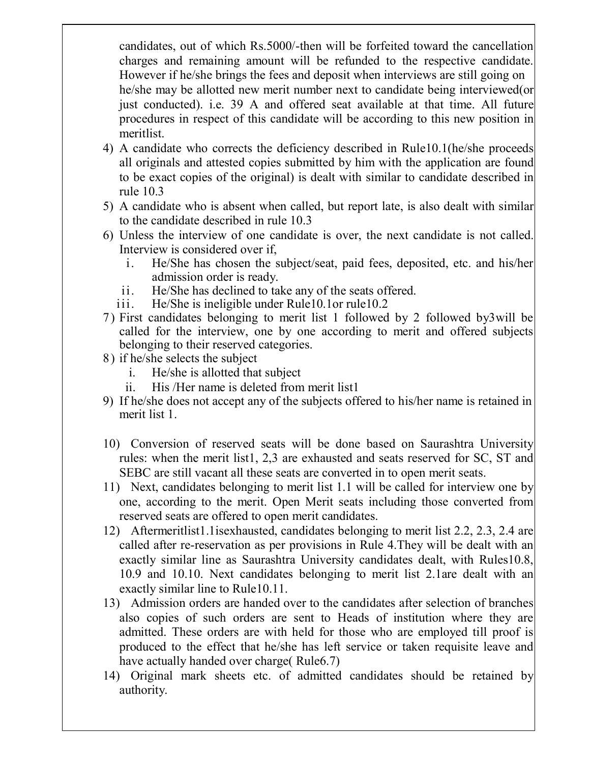candidates, out of which Rs.5000/-then will be forfeited toward the cancellation charges and remaining amount will be refunded to the respective candidate. However if he/she brings the fees and deposit when interviews are still going on he/she may be allotted new merit number next to candidate being interviewed(or just conducted). i.e. 39 A and offered seat available at that time. All future procedures in respect of this candidate will be according to this new position in meritlist.

- 4) A candidate who corrects the deficiency described in Rule10.1(he/she proceeds all originals and attested copies submitted by him with the application are found to be exact copies of the original) is dealt with similar to candidate described in rule 10.3
- 5) A candidate who is absent when called, but report late, is also dealt with similar to the candidate described in rule 10.3
- 6) Unless the interview of one candidate is over, the next candidate is not called. Interview is considered over if,
	- i. He/She has chosen the subject/seat, paid fees, deposited, etc. and his/her admission order is ready.
	- ii. He/She has declined to take any of the seats offered.
	- iii. He/She is ineligible under Rule10.1or rule10.2
- 7) First candidates belonging to merit list 1 followed by 2 followed by3will be called for the interview, one by one according to merit and offered subjects belonging to their reserved categories.
- 8) if he/she selects the subject
	- i. He/she is allotted that subject
	- ii. His /Her name is deleted from merit list1
- 9) If he/she does not accept any of the subjects offered to his/her name is retained in merit list 1.
- 10) Conversion of reserved seats will be done based on Saurashtra University rules: when the merit list1, 2,3 are exhausted and seats reserved for SC, ST and SEBC are still vacant all these seats are converted in to open merit seats.
- 11) Next, candidates belonging to merit list 1.1 will be called for interview one by one, according to the merit. Open Merit seats including those converted from reserved seats are offered to open merit candidates.
- 12) Aftermeritlist1.1isexhausted, candidates belonging to merit list 2.2, 2.3, 2.4 are called after re-reservation as per provisions in Rule 4.They will be dealt with an exactly similar line as Saurashtra University candidates dealt, with Rules10.8, 10.9 and 10.10. Next candidates belonging to merit list 2.1are dealt with an exactly similar line to Rule10.11.
- 13) Admission orders are handed over to the candidates after selection of branches also copies of such orders are sent to Heads of institution where they are admitted. These orders are with held for those who are employed till proof is produced to the effect that he/she has left service or taken requisite leave and have actually handed over charge (Rule6.7)
- 14) Original mark sheets etc. of admitted candidates should be retained by authority.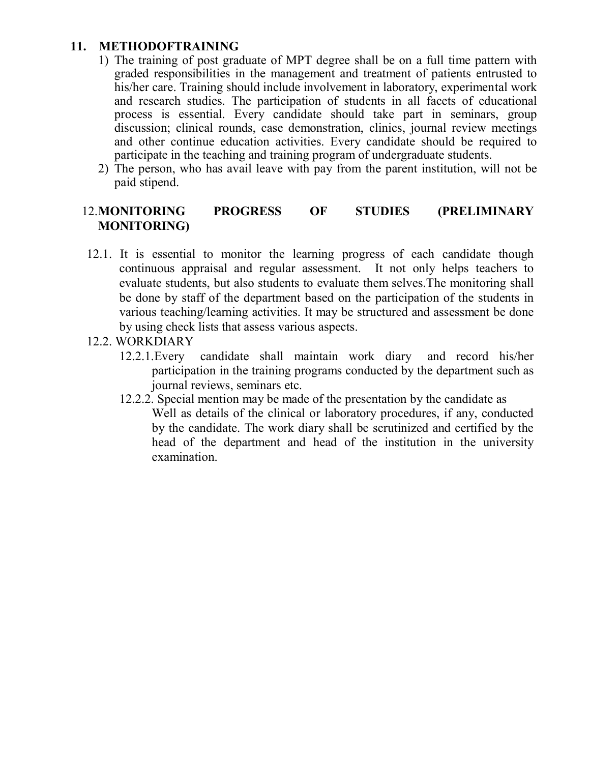#### 11. METHODOFTRAINING

- 1) The training of post graduate of MPT degree shall be on a full time pattern with graded responsibilities in the management and treatment of patients entrusted to his/her care. Training should include involvement in laboratory, experimental work and research studies. The participation of students in all facets of educational process is essential. Every candidate should take part in seminars, group discussion; clinical rounds, case demonstration, clinics, journal review meetings and other continue education activities. Every candidate should be required to participate in the teaching and training program of undergraduate students.
- 2) The person, who has avail leave with pay from the parent institution, will not be paid stipend.

#### 12.MONITORING PROGRESS OF STUDIES (PRELIMINARY MONITORING)

- 12.1. It is essential to monitor the learning progress of each candidate though continuous appraisal and regular assessment. It not only helps teachers to evaluate students, but also students to evaluate them selves.The monitoring shall be done by staff of the department based on the participation of the students in various teaching/learning activities. It may be structured and assessment be done by using check lists that assess various aspects.
- 12.2. WORKDIARY
	- 12.2.1.Every candidate shall maintain work diary and record his/her participation in the training programs conducted by the department such as journal reviews, seminars etc.
	- 12.2.2. Special mention may be made of the presentation by the candidate as Well as details of the clinical or laboratory procedures, if any, conducted by the candidate. The work diary shall be scrutinized and certified by the head of the department and head of the institution in the university examination.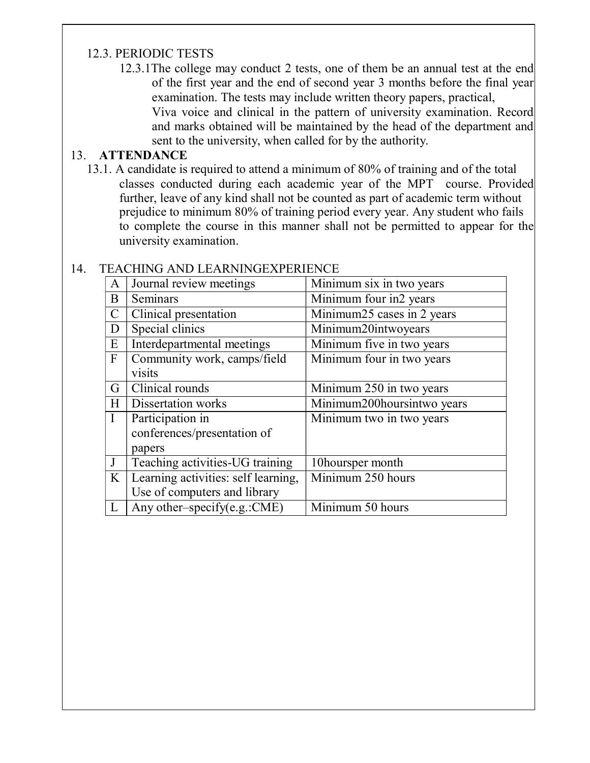#### 12.3. PERIODIC TESTS

12.3.1The college may conduct 2 tests, one of them be an annual test at the end of the first year and the end of second year 3 months before the final year examination. The tests may include written theory papers, practical, Viva voice and clinical in the pattern of university examination. Record and marks obtained will be maintained by the head of the department and sent to the university, when called for by the authority.

#### 13. ATTENDANCE

13.1. A candidate is required to attend a minimum of 80% of training and of the total classes conducted during each academic year of the MPT course. Provided further, leave of any kind shall not be counted as part of academic term without prejudice to minimum 80% of training period every year. Any student who fails to complete the course in this manner shall not be permitted to appear for the university examination.

| A                 | Journal review meetings             | Minimum six in two years             |
|-------------------|-------------------------------------|--------------------------------------|
| B                 | Seminars                            | Minimum four in2 years               |
| $\mathsf{C}$      | Clinical presentation               | Minimum25 cases in 2 years           |
| D                 | Special clinics                     | Minimum20intwoyears                  |
| E                 | Interdepartmental meetings          | Minimum five in two years            |
| $\mathbf{F}$      | Community work, camps/field         | Minimum four in two years            |
|                   | visits                              |                                      |
| G                 | Clinical rounds                     | Minimum 250 in two years             |
| Н                 | <b>Dissertation works</b>           | Minimum200hoursintwo years           |
|                   | Participation in                    | Minimum two in two years             |
|                   | conferences/presentation of         |                                      |
|                   | papers                              |                                      |
|                   | Teaching activities-UG training     | 10hoursper month                     |
| $K_{\mathcal{I}}$ | Learning activities: self learning, | Minimum 250 hours                    |
|                   | Use of computers and library        |                                      |
|                   | Any other-specify(e.g.:CME)         | $\overline{\text{Minimum 50 hours}}$ |

#### 14. TEACHING AND LEARNINGEXPERIENCE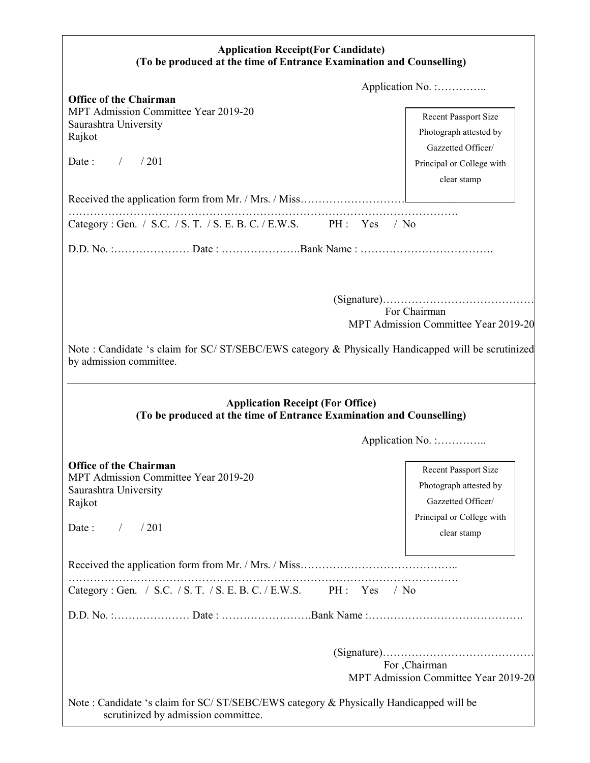| <b>Application Receipt(For Candidate)</b><br>(To be produced at the time of Entrance Examination and Counselling)                                                                                                                                                                                         |                                                                                                                         |  |  |
|-----------------------------------------------------------------------------------------------------------------------------------------------------------------------------------------------------------------------------------------------------------------------------------------------------------|-------------------------------------------------------------------------------------------------------------------------|--|--|
| Application No. :                                                                                                                                                                                                                                                                                         |                                                                                                                         |  |  |
| <b>Office of the Chairman</b><br>MPT Admission Committee Year 2019-20<br>Saurashtra University<br>Rajkot<br>Date: $/$<br>/201                                                                                                                                                                             | <b>Recent Passport Size</b><br>Photograph attested by<br>Gazzetted Officer/<br>Principal or College with<br>clear stamp |  |  |
|                                                                                                                                                                                                                                                                                                           |                                                                                                                         |  |  |
| Category: Gen. / S.C. / S. T. / S. E. B. C. / E.W.S. PH: Yes                                                                                                                                                                                                                                              | $/$ No                                                                                                                  |  |  |
|                                                                                                                                                                                                                                                                                                           |                                                                                                                         |  |  |
| For Chairman<br>MPT Admission Committee Year 2019-20<br>Note : Candidate 's claim for SC/ ST/SEBC/EWS category & Physically Handicapped will be scrutinized<br>by admission committee.<br><b>Application Receipt (For Office)</b><br>(To be produced at the time of Entrance Examination and Counselling) |                                                                                                                         |  |  |
|                                                                                                                                                                                                                                                                                                           | Application No. :                                                                                                       |  |  |
| <b>Office of the Chairman</b><br>MPT Admission Committee Year 2019-20<br>Saurashtra University<br>Rajkot<br>/201<br>Date:<br>$\sqrt{2}$                                                                                                                                                                   | <b>Recent Passport Size</b><br>Photograph attested by<br>Gazzetted Officer/<br>Principal or College with<br>clear stamp |  |  |
|                                                                                                                                                                                                                                                                                                           |                                                                                                                         |  |  |
| Category: Gen. / S.C. / S. T. / S. E. B. C. / E.W.S. PH: Yes<br>$/$ No                                                                                                                                                                                                                                    |                                                                                                                         |  |  |
|                                                                                                                                                                                                                                                                                                           |                                                                                                                         |  |  |
| For , Chairman<br>MPT Admission Committee Year 2019-20<br>Note: Candidate 's claim for SC/ST/SEBC/EWS category & Physically Handicapped will be<br>scrutinized by admission committee.                                                                                                                    |                                                                                                                         |  |  |